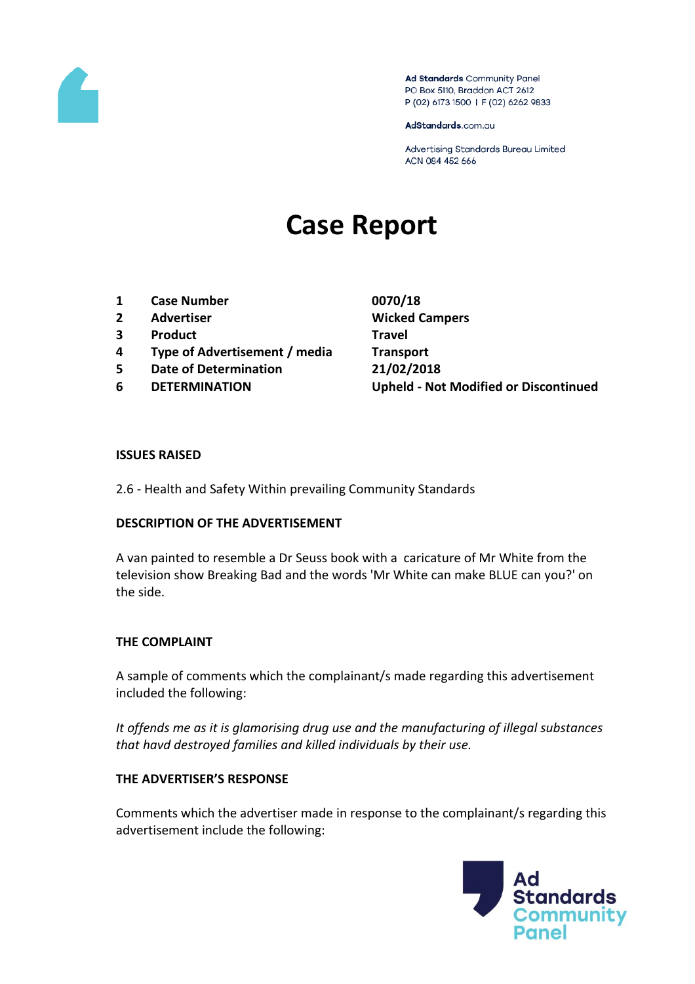

Ad Standards Community Panel PO Box 5110, Braddon ACT 2612 P (02) 6173 1500 | F (02) 6262 9833

AdStandards.com.au

Advertising Standards Bureau Limited ACN 084 452 666

# **Case Report**

- **1 Case Number 0070/18**
- **2 Advertiser Wicked Campers**
- **3 Product Travel**
- **4 Type of Advertisement / media Transport**
- **5 Date of Determination 21/02/2018**
- 

**6 DETERMINATION Upheld - Not Modified or Discontinued**

#### **ISSUES RAISED**

2.6 - Health and Safety Within prevailing Community Standards

#### **DESCRIPTION OF THE ADVERTISEMENT**

A van painted to resemble a Dr Seuss book with a caricature of Mr White from the television show Breaking Bad and the words 'Mr White can make BLUE can you?' on the side.

#### **THE COMPLAINT**

A sample of comments which the complainant/s made regarding this advertisement included the following:

*It offends me as it is glamorising drug use and the manufacturing of illegal substances that havd destroyed families and killed individuals by their use.* 

#### **THE ADVERTISER'S RESPONSE**

Comments which the advertiser made in response to the complainant/s regarding this advertisement include the following:

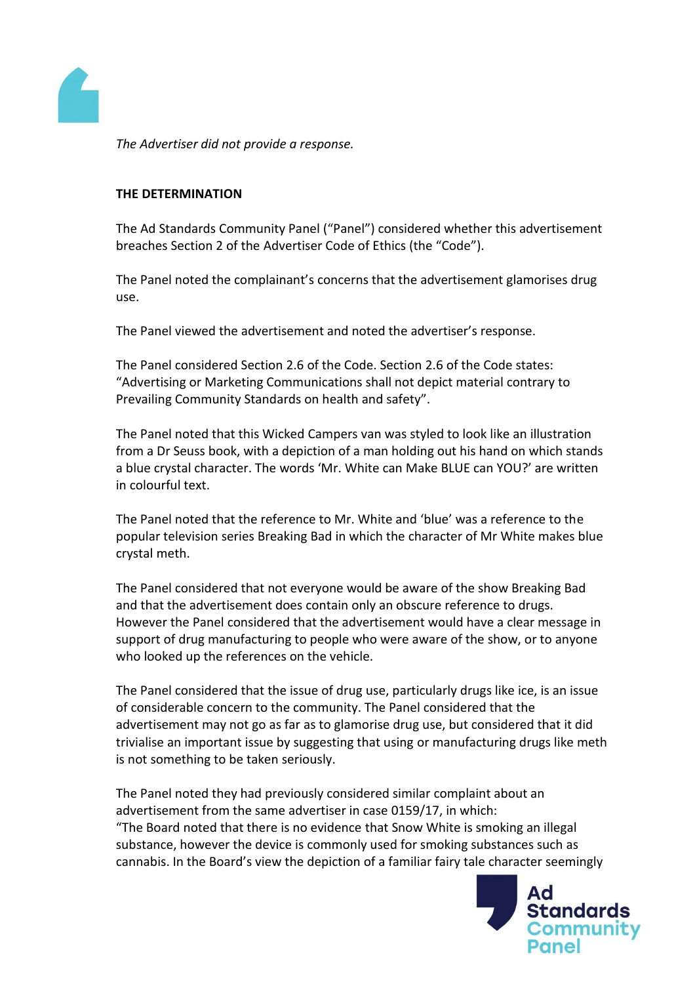

*The Advertiser did not provide a response.*

### **THE DETERMINATION**

The Ad Standards Community Panel ("Panel") considered whether this advertisement breaches Section 2 of the Advertiser Code of Ethics (the "Code").

The Panel noted the complainant's concerns that the advertisement glamorises drug use.

The Panel viewed the advertisement and noted the advertiser's response.

The Panel considered Section 2.6 of the Code. Section 2.6 of the Code states: "Advertising or Marketing Communications shall not depict material contrary to Prevailing Community Standards on health and safety".

The Panel noted that this Wicked Campers van was styled to look like an illustration from a Dr Seuss book, with a depiction of a man holding out his hand on which stands a blue crystal character. The words 'Mr. White can Make BLUE can YOU?' are written in colourful text.

The Panel noted that the reference to Mr. White and 'blue' was a reference to the popular television series Breaking Bad in which the character of Mr White makes blue crystal meth.

The Panel considered that not everyone would be aware of the show Breaking Bad and that the advertisement does contain only an obscure reference to drugs. However the Panel considered that the advertisement would have a clear message in support of drug manufacturing to people who were aware of the show, or to anyone who looked up the references on the vehicle.

The Panel considered that the issue of drug use, particularly drugs like ice, is an issue of considerable concern to the community. The Panel considered that the advertisement may not go as far as to glamorise drug use, but considered that it did trivialise an important issue by suggesting that using or manufacturing drugs like meth is not something to be taken seriously.

The Panel noted they had previously considered similar complaint about an advertisement from the same advertiser in case 0159/17, in which: "The Board noted that there is no evidence that Snow White is smoking an illegal substance, however the device is commonly used for smoking substances such as cannabis. In the Board's view the depiction of a familiar fairy tale character seemingly